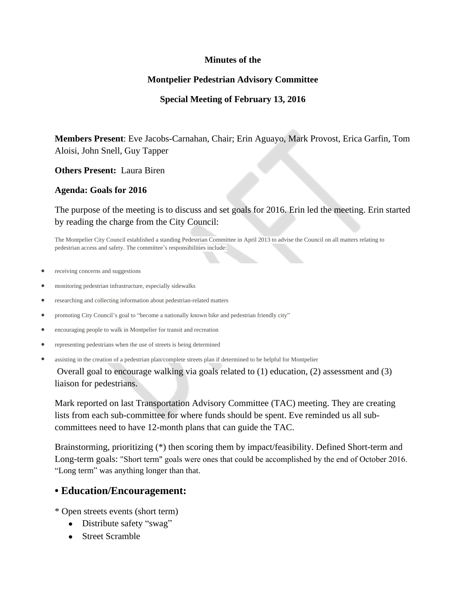#### **Minutes of the**

### **Montpelier Pedestrian Advisory Committee**

### **Special Meeting of February 13, 2016**

**Members Present**: Eve Jacobs-Carnahan, Chair; Erin Aguayo, Mark Provost, Erica Garfin, Tom Aloisi, John Snell, Guy Tapper

**Others Present:** Laura Biren

**Agenda: Goals for 2016**

The purpose of the meeting is to discuss and set goals for 2016. Erin led the meeting. Erin started by reading the charge from the City Council:

The Montpelier City Council established a standing Pedestrian Committee in April 2013 to advise the Council on all matters relating to pedestrian access and safety. The committee's responsibilities include:

- receiving concerns and suggestions
- monitoring pedestrian infrastructure, especially sidewalks
- researching and collecting information about pedestrian-related matters
- promoting City Council's goal to "become a nationally known bike and pedestrian friendly city"
- encouraging people to walk in Montpelier for transit and recreation
- representing pedestrians when the use of streets is being determined
- assisting in the creation of a pedestrian plan/complete streets plan if determined to be helpful for Montpelier

Overall goal to encourage walking via goals related to (1) education, (2) assessment and (3) liaison for pedestrians.

Mark reported on last Transportation Advisory Committee (TAC) meeting. They are creating lists from each sub-committee for where funds should be spent. Eve reminded us all subcommittees need to have 12-month plans that can guide the TAC.

Brainstorming, prioritizing (\*) then scoring them by impact/feasibility. Defined Short-term and Long-term goals: "Short term" goals were ones that could be accomplished by the end of October 2016. "Long term" was anything longer than that.

## **• Education/Encouragement:**

\* Open streets events (short term)

- Distribute safety "swag"
- Street Scramble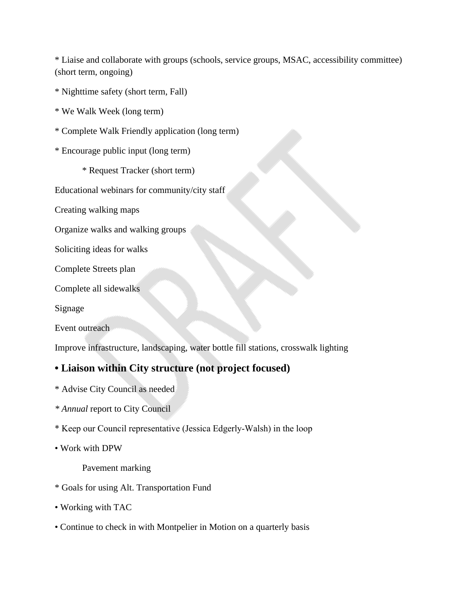\* Liaise and collaborate with groups (schools, service groups, MSAC, accessibility committee) (short term, ongoing)

\* Nighttime safety (short term, Fall)

\* We Walk Week (long term)

- \* Complete Walk Friendly application (long term)
- \* Encourage public input (long term)
	- \* Request Tracker (short term)
- Educational webinars for community/city staff
- Creating walking maps
- Organize walks and walking groups
- Soliciting ideas for walks
- Complete Streets plan
- Complete all sidewalks

Signage

Event outreach

Improve infrastructure, landscaping, water bottle fill stations, crosswalk lighting

# **• Liaison within City structure (not project focused)**

- \* Advise City Council as needed
- *\* Annual* report to City Council
- \* Keep our Council representative (Jessica Edgerly-Walsh) in the loop
- Work with DPW

Pavement marking

- \* Goals for using Alt. Transportation Fund
- Working with TAC
- Continue to check in with Montpelier in Motion on a quarterly basis